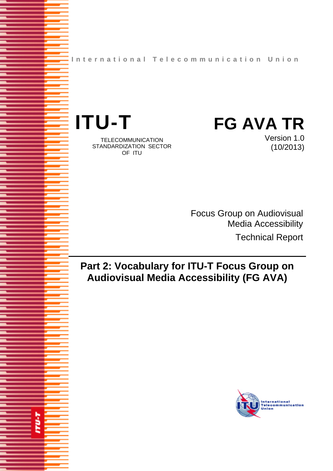**International Telecommunication Union**



**TU-T** 

TELECOMMUNICATION STANDARDIZATION SECTOR OF ITU

Version 1.0 (10/2013)

Focus Group on Audiovisual Media Accessibility Technical Report

# **Part 2: Vocabulary for ITU-T Focus Group on Audiovisual Media Accessibility (FG AVA)**

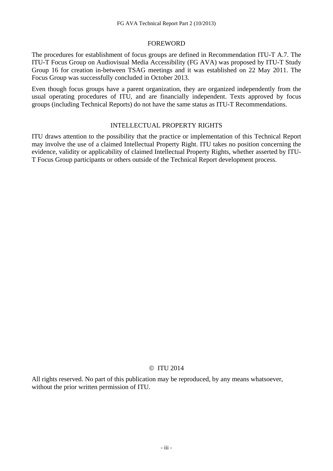#### FOREWORD

The procedures for establishment of focus groups are defined in Recommendation ITU-T A.7. The ITU-T Focus Group on Audiovisual Media Accessibility (FG AVA) was proposed by ITU-T Study Group 16 for creation in-between TSAG meetings and it was established on 22 May 2011. The Focus Group was successfully concluded in October 2013.

Even though focus groups have a parent organization, they are organized independently from the usual operating procedures of ITU, and are financially independent. Texts approved by focus groups (including Technical Reports) do not have the same status as ITU-T Recommendations.

#### INTELLECTUAL PROPERTY RIGHTS

ITU draws attention to the possibility that the practice or implementation of this Technical Report may involve the use of a claimed Intellectual Property Right. ITU takes no position concerning the evidence, validity or applicability of claimed Intellectual Property Rights, whether asserted by ITU-T Focus Group participants or others outside of the Technical Report development process.

#### © ITU 2014

All rights reserved. No part of this publication may be reproduced, by any means whatsoever, without the prior written permission of ITU.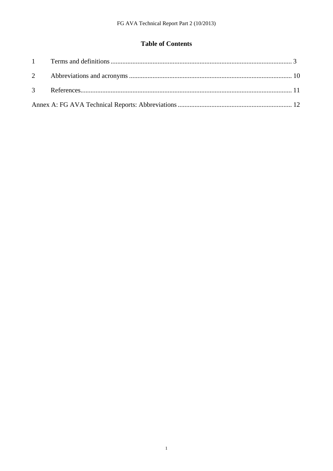## **Table of Contents**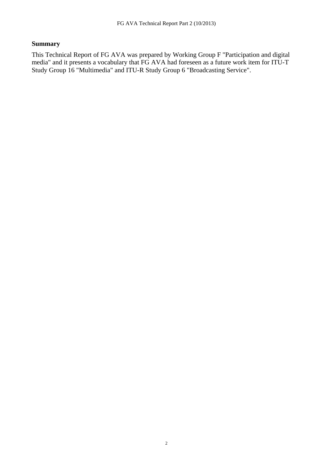### **Summary**

This Technical Report of FG AVA was prepared by Working Group F "Participation and digital media" and it presents a vocabulary that FG AVA had foreseen as a future work item for ITU-T Study Group 16 "Multimedia" and ITU-R Study Group 6 "Broadcasting Service".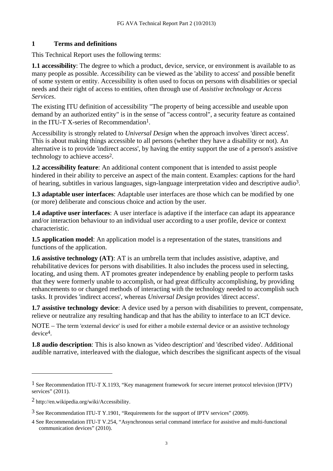#### **1 Terms and definitions**

This Technical Report uses the following terms:

**1.1 accessibility**: The degree to which a product, device, service, or environment is available to as many people as possible. Accessibility can be viewed as the 'ability to access' and possible benefit of some system or entity. Accessibility is often used to focus on persons with disabilities or special needs and their right of access to entities, often through use of *[Assistive technology](http://en.wikipedia.org/wiki/Assistive_technology)* or *Access Services*.

The existing ITU definition of accessibility "The property of being accessible and useable upon demand by an authorized entity" is in the sense of "access control", a security feature as contained in the ITU-T X-series of Recommendation1.

Accessibility is strongly related to *[Universal Design](http://en.wikipedia.org/wiki/Universal_design)* when the approach involves 'direct access'. This is about making things accessible to all persons (whether they have a disability or not). An alternative is to provide 'indirect access', by having the entity support the use of a person's [assistive](http://en.wikipedia.org/wiki/Assistive_technology)  [technology](http://en.wikipedia.org/wiki/Assistive_technology) to achieve access2.

**1.2 accessibility feature**: An additional content component that is intended to assist people hindered in their ability to perceive an aspect of the main content. Examples: captions for the hard of hearing, subtitles in various languages, sign-language interpretation video and descriptive audio3.

**1.3 adaptable user interfaces**: Adaptable user interfaces are those which can be modified by one (or more) deliberate and conscious choice and action by the user.

**1.4 adaptive user interfaces**: A user interface is adaptive if the interface can adapt its appearance and/or interaction behaviour to an individual user according to a user profile, device or context characteristic.

**1.5 application model**: An application model is a representation of the states, transitions and functions of the application.

**1.6 assistive technology (AT)**: AT is an [umbrella term](http://en.wikipedia.org/wiki/Umbrella_term) that includes assistive, adaptive, and rehabilitative devices for [persons with disabilities](http://en.wikipedia.org/wiki/Disability). It also includes the process used in selecting, locating, and using them. AT promotes greater independence by enabling people to perform tasks that they were formerly unable to accomplish, or had great difficulty accomplishing, by providing enhancements to or changed methods of interacting with the [technology](http://en.wikipedia.org/wiki/Technology) needed to accomplish such tasks. It provides 'indirect access', whereas *Universal Design* provides 'direct access'.

**1.7 assistive technology device**: A device used by a person with disabilities to prevent, compensate, relieve or neutralize any resulting handicap and that has the ability to interface to an ICT device.

NOTE – The term 'external device' is used for either a mobile external device or an assistive technology device4.

**1.8 audio description**: This is also known as 'video description' and 'described video'. Additional audible narrative, interleaved with the dialogue, which describes the significant aspects of the visual

<sup>1</sup> See Recommendation ITU-T X.1193, "Key management framework for secure internet protocol television (IPTV) services" (2011).

<sup>2</sup> http://en.wikipedia.org/wiki/Accessibility.

<sup>3</sup> See Recommendation ITU-T Y.1901, "Requirements for the support of IPTV services" (2009).

<sup>4</sup> See Recommendation ITU-T V.254, "Asynchronous serial command interface for assistive and multi-functional communication devices" (2010).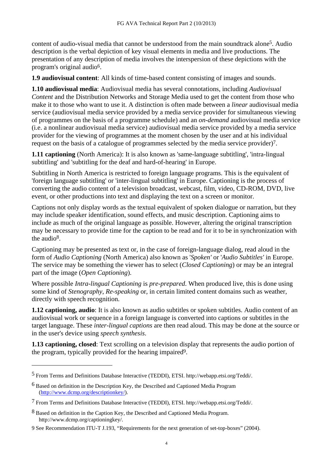content of audio-visual media that cannot be understood from the main soundtrack alone5. Audio description is the verbal depiction of key visual elements in media and live productions. The presentation of any description of media involves the interspersion of these depictions with the program's original audio6.

**1.9 audiovisual content**: All kinds of time-based content consisting of images and sounds.

**1.10 audiovisual media**: Audiovisual media has several connotations, including *Audiovisual Content* and the Distribution Networks and Storage Media used to get the content from those who make it to those who want to use it. A distinction is often made between a *linear* audiovisual media service (audiovisual media service provided by a media service provider for simultaneous viewing of programmes on the basis of a programme schedule) and an *on-demand* audiovisual media service (i.e. a nonlinear audiovisual media service) audiovisual media service provided by a media service provider for the viewing of programmes at the moment chosen by the user and at his individual request on the basis of a catalogue of programmes selected by the media service provider)7.

**1.11 captioning** (North America): It is also known as 'same-language subtitling', 'intra-lingual subtitling' and 'subtitling for the deaf and hard-of-hearing' in Europe.

Subtitling in North America is restricted to foreign language programs. This is the equivalent of 'foreign language subtitling' or 'inter-lingual subtitling' in Europe. Captioning is the process of converting the audio content of a television broadcast, webcast, film, video, CD-ROM, DVD, live event, or other productions into text and displaying the text on a screen or monitor.

Captions not only display words as the textual equivalent of spoken dialogue or narration, but they may include speaker identification, sound effects, and music description. Captioning aims to include as much of the original language as possible. However, altering the original transcription may be necessary to provide time for the caption to be read and for it to be in synchronization with the audio<sup>8</sup>.

Captioning may be presented as text or, in the case of foreign-language dialog, read aloud in the form of *Audio Captioning* (North America) also known as '*Spoken'* or '*Audio Subtitles'* in Europe. The service may be something the viewer has to select (*Closed Captioning*) or may be an integral part of the image (*Open Captioning*).

Where possible *Intra-lingual Captioning* is *pre-prepared*. When produced live, this is done using some kind of *Stenography*, *Re-speaking* or, in certain limited content domains such as weather, directly with speech recognition.

**1.12 captioning, audio**: It is also known as audio subtitles or spoken subtitles. Audio content of an audiovisual work or sequence in a foreign language is converted into captions or subtitles in the target language. These *inter-lingual captions* are then read aloud. This may be done at the source or in the user's device using *speech synthesis*.

**1.13 captioning, closed**: Text scrolling on a television display that represents the audio portion of the program, typically provided for the hearing impaired9.

<sup>5</sup> From Terms and Definitions Database Interactive (TEDDI), ETSI. http://webapp.etsi.org/Teddi/.

<sup>6</sup> Based on definition in the Description Key, the Described and Captioned Media Program [\(http://www.dcmp.org/descriptionkey/\)](http://www.dcmp.org/descriptionkey/).

<sup>7</sup> From Terms and Definitions Database Interactive (TEDDI), ETSI. http://webapp.etsi.org/Teddi/.

<sup>8</sup> Based on definition in the Caption Key, the Described and Captioned Media Program. http://www.dcmp.org/captioningkey/.

<sup>9</sup> See Recommendation ITU-T J.193, "Requirements for the next generation of set-top-boxes" (2004).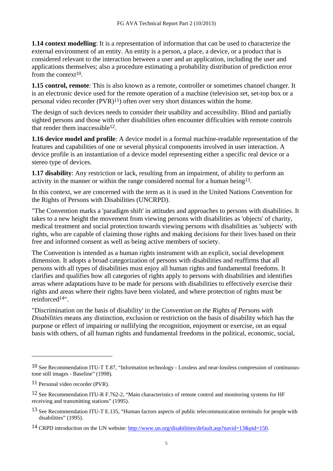**1.14 context modelling**: It is a representation of information that can be used to characterize the external environment of an entity. An entity is a person, a place, a device, or a product that is considered relevant to the interaction between a user and an application, including the user and applications themselves; also a procedure estimating a probability distribution of prediction error from the context<sup>10</sup>.

**1.15 control, remote**: This is also known as a remote, controller or sometimes channel changer. It is an electronic device used for the remote operation of a machine (television set, set-top box or a personal video recorder  $(PVR)^{11}$  often over very short distances within the home.

The design of such devices needs to consider their usability and accessibility. Blind and partially sighted persons and those with other disabilities often encounter difficulties with remote controls that render them inaccessible12.

**1.16 device model and profile**: A device model is a formal machine-readable representation of the features and capabilities of one or several physical components involved in user interaction. A device profile is an instantiation of a device model representing either a specific real device or a stereo type of devices.

**1.17 disability**: Any restriction or lack, resulting from an impairment, of ability to perform an activity in the manner or within the range considered normal for a human being13.

In this context, we are concerned with the term as it is used in the United Nations Convention for the Rights of Persons with Disabilities (UNCRPD).

"The Convention marks a 'paradigm shift' in attitudes and approaches to persons with disabilities. It takes to a new height the movement from viewing persons with disabilities as 'objects' of charity, medical treatment and social protection towards viewing persons with disabilities as 'subjects' with rights, who are capable of claiming those rights and making decisions for their lives based on their free and informed consent as well as being active members of society.

The Convention is intended as a human rights instrument with an explicit, social development dimension. It adopts a broad categorization of persons with disabilities and reaffirms that all persons with all types of disabilities must enjoy all human rights and fundamental freedoms. It clarifies and qualifies how all categories of rights apply to persons with disabilities and identifies areas where adaptations have to be made for persons with disabilities to effectively exercise their rights and areas where their rights have been violated, and where protection of rights must be reinforced14".

"Discrimination on the basis of disability' in the *[Convention on the Rights of Persons with](http://www2.ohchr.org/english/law/disabilities-convention.htm)  [Disabilities](http://www2.ohchr.org/english/law/disabilities-convention.htm)* means any distinction, exclusion or restriction on the basis of disability which has the purpose or effect of impairing or nullifying the recognition, enjoyment or exercise, on an equal basis with others, of all human rights and fundamental freedoms in the political, economic, social,

<sup>10</sup> See Recommendation ITU-T T.87, "Information technology - Lossless and near-lossless compression of continuoustone still images - Baseline" (1998).

<sup>11</sup> Personal video recorder (PVR).

<sup>&</sup>lt;sup>12</sup> See Recommendation ITU-R F.762-2, "Main characteristics of remote control and monitoring systems for HF receiving and transmitting stations" (1995).

<sup>&</sup>lt;sup>13</sup> See Recommendation ITU-T E.135, "Human factors aspects of public telecommunication terminals for people with disabilities" (1995).

<sup>14</sup> CRPD introduction on the UN website:<http://www.un.org/disabilities/default.asp?navid=13&pid=150>.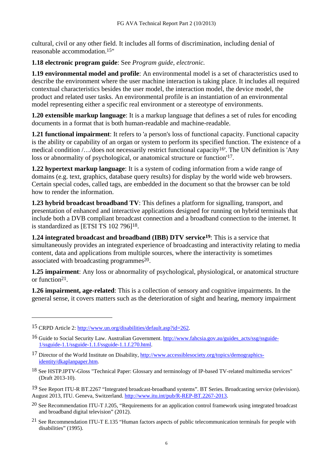cultural, civil or any other field. It includes all forms of discrimination, including denial of reasonable accommodation.15"

#### **1.18 electronic program guide**: See *Program guide, electronic.*

**1.19 environmental model and profile**: An environmental model is a set of characteristics used to describe the environment where the user machine interaction is taking place. It includes all required contextual characteristics besides the user model, the interaction model, the device model, the product and related user tasks. An environmental profile is an instantiation of an environmental model representing either a specific real environment or a stereotype of environments.

**1.20 extensible markup language**: It is a markup language that defines a set of rules for encoding documents in a format that is both human-readable and machine-readable.

**1.21 functional impairment**: It refers to 'a person's loss of functional capacity. Functional capacity is the ability or capability of an organ or system to perform its specified function. The existence of a medical condition /…/does not necessarily restrict functional capacity16'. The UN definition is 'Any loss or abnormality of psychological, or anatomical structure or function'17.

**1.22 hypertext markup language**: It is a system of coding information from a wide range of domains (e.g. text, graphics, database query results) for display by the world wide web browsers. Certain special codes, called tags, are embedded in the document so that the browser can be told how to render the information.

**1.23 hybrid broadcast broadband TV**: This defines a platform for signalling, transport, and presentation of enhanced and interactive applications designed for running on hybrid terminals that include both a DVB compliant broadcast connection and a broadband connection to the internet. It is standardized as [ETSI TS 102 796]18.

**1.24 integrated broadcast and broadband (IBB) DTV service19**: This is a service that simultaneously provides an integrated experience of broadcasting and interactivity relating to media content, data and applications from multiple sources, where the interactivity is sometimes associated with broadcasting programmes<sup>20</sup>.

**1.25 impairment**: Any loss or abnormality of psychological, physiological, or anatomical structure or function21.

**1.26 impairment, age-related**: This is a collection of sensory and cognitive impairments. In the general sense, it covers matters such as the deterioration of sight and hearing, memory impairment

<sup>15</sup> CRPD Article 2: [http://www.un.org/disabilities/default.asp?id=262.](http://www.un.org/disabilities/default.asp?id=262)

<sup>16</sup> Guide to Social Security Law. Australian Government. [http://www.fahcsia.gov.au/guides\\_acts/ssg/ssguide-](http://www.fahcsia.gov.au/guides_acts/ssg/ssguide-1/ssguide-1.1/ssguide-1.1.f/ssguide-1.1.f.270.html)[1/ssguide-1.1/ssguide-1.1.f/ssguide-1.1.f.270.html.](http://www.fahcsia.gov.au/guides_acts/ssg/ssguide-1/ssguide-1.1/ssguide-1.1.f/ssguide-1.1.f.270.html) 

<sup>17</sup> Director of the World Institute on Disability, [http://www.accessiblesociety.org/topics/demographics](http://www.accessiblesociety.org/topics/demographics-identity/dkaplanpaper.htm)[identity/dkaplanpaper.htm.](http://www.accessiblesociety.org/topics/demographics-identity/dkaplanpaper.htm) 

<sup>18</sup> See HSTP.IPTV-Gloss "Technical Paper: Glossary and terminology of IP-based TV-related multimedia services" (Draft 2013-10).

<sup>19</sup> See Report ITU-R BT.2267 "Integrated broadcast-broadband systems". BT Series. Broadcasting service (television). August 2013, ITU. Geneva, Switzerland.<http://www.itu.int/pub/R-REP-BT.2267-2013>.

<sup>20</sup> See Recommendation ITU-T J.205, "Requirements for an application control framework using integrated broadcast and broadband digital television" (2012).

<sup>21</sup> See Recommendation ITU-T E.135 "Human factors aspects of public telecommunication terminals for people with disabilities" (1995).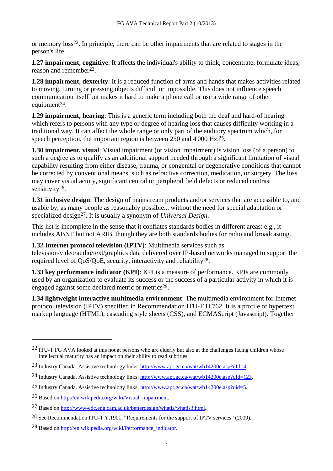or memory loss22. In principle, there can be other impairments that are related to stages in the person's life.

**1.27 impairment, cognitive**: It affects the individual's ability to think, concentrate, formulate ideas, reason and remember23.

**1.28 impairment, dexterity**: It is a reduced function of arms and hands that makes activities related to moving, turning or pressing objects difficult or impossible. This does not influence speech communication itself but makes it hard to make a phone call or use a wide range of other equipment $^{24}$ .

**1.29 impairment, hearing**: This is a generic term including both the deaf and hard-of hearing which refers to persons with any type or degree of hearing loss that causes difficulty working in a traditional way. It can affect the whole range or only part of the auditory spectrum which, for speech perception, the important region is between 250 and 4'000 Hz.25.

**1.30 impairment, visual**: Visual impairment (or vision impairment) is vision loss (of a person) to such a degree as to qualify as an additional support needed through a significant limitation of visual capability resulting from either disease, trauma, or congenital or degenerative conditions that cannot be corrected by conventional means, such as refractive correction, medication, or surgery. The loss may cover visual acuity, significant central or peripheral field defects or reduced contrast sensitivity<sup>26</sup>.

**1.31 inclusive design**: The design of mainstream products and/or services that are accessible to, and usable by, as many people as reasonably possible... without the need for special adaptation or specialized design<sup>27</sup>. It is usually a synonym of *Universal Design*.

This list is incomplete in the sense that it conflates standards bodies in different areas: e.g., it includes ABNT but not ARIB, though they are both standards bodies for radio and broadcasting.

**1.32 Internet protocol television (IPTV)**: Multimedia services such as

television/video/audio/text/graphics data delivered over IP-based networks managed to support the required level of QoS/QoE, security, interactivity and reliability28.

**1.33 key performance indicator (KPI)**: KPI is a [measure of performance](http://en.wikipedia.org/wiki/Measure_of_Performance). KPIs are commonly used by an organization to evaluate its success or the success of a particular activity in which it is engaged against some declared metric or metrics<sup>29</sup>.

**1.34 lightweight interactive multimedia environment**: The multimedia environment for Internet protocol television (IPTV) specified in Recommendation ITU-T H.762. It is a profile of hypertext markup language (HTML), cascading style sheets (CSS), and ECMAScript (Javascript). Together

<sup>&</sup>lt;sup>22</sup> ITU-T FG AVA looked at this not at persons who are elderly but also at the challenges facing children whose intellectual maturity has an impact on their ability to read subtitles.

<sup>23</sup> Industry Canada. Assistive technology links:<http://www.apt.gc.ca/wat/wb14200e.asp?dId=4>.

<sup>24</sup> Industry Canada. Assistive technology links:<http://www.apt.gc.ca/wat/wb14200e.asp?dId=123>.

<sup>25</sup> Industry Canada. Assistive technology links:<http://www.apt.gc.ca/wat/wb14200e.asp?did=5>.

<sup>26</sup> Based on [http://en.wikipedia.org/wiki/Visual\\_impairment](http://en.wikipedia.org/wiki/Visual_impairment).

<sup>27</sup> Based on [http://www-edc.eng.cam.ac.uk/betterdesign/whatis/whatis3.html.](http://www-edc.eng.cam.ac.uk/betterdesign/whatis/whatis3.html)

<sup>28</sup> See Recommendation ITU-T Y.1901, "Requirements for the support of IPTV services" (2009).

<sup>29</sup> Based on [http://en.wikipedia.org/wiki/Performance\\_indicator](http://en.wikipedia.org/wiki/Performance_indicator).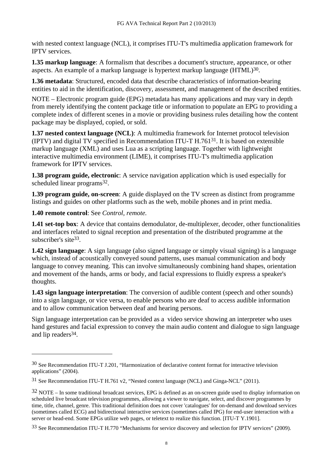with nested context language (NCL), it comprises ITU-T's multimedia application framework for IPTV services.

**1.35 markup language**: A formalism that describes a document's structure, appearance, or other aspects. An example of a markup language is hypertext markup language (HTML)30.

**1.36 metadata**: Structured, encoded data that describe characteristics of information-bearing entities to aid in the identification, discovery, assessment, and management of the described entities.

NOTE – Electronic program guide (EPG) metadata has many applications and may vary in depth from merely identifying the content package title or information to populate an EPG to providing a complete index of different scenes in a movie or providing business rules detailing how the content package may be displayed, copied, or sold.

**1.37 nested context language (NCL)**: A multimedia framework for Internet protocol television (IPTV) and digital TV specified in Recommendation ITU-T H.76131. It is based on extensible markup language (XML) and uses Lua as a scripting language. Together with lightweight interactive multimedia environment (LIME), it comprises ITU-T's multimedia application framework for IPTV services.

**1.38 program guide, electronic**: A service navigation application which is used especially for scheduled linear programs<sup>32</sup>.

**1.39 program guide, on-screen**: A guide displayed on the TV screen as distinct from programme listings and guides on other platforms such as the web, mobile phones and in print media.

**1.40 remote control**: See *Control, remote.*

 $\overline{a}$ 

**1.41 set-top box**: A device that contains demodulator, de-multiplexer, decoder, other functionalities and interfaces related to signal reception and presentation of the distributed programme at the subscriber's site<sup>33</sup>.

**1.42 sign language**: A sign language (also signed language or simply visual signing) is a language which, instead of acoustically conveyed sound patterns, uses manual communication and body language to convey meaning. This can involve simultaneously combining hand shapes, orientation and movement of the hands, arms or body, and facial expressions to fluidly express a speaker's thoughts.

**1.43 sign language interpretation**: The conversion of audible content (speech and other sounds) into a sign language, or vice versa, to enable persons who are deaf to access audible information and to allow communication between deaf and hearing persons.

Sign language interpretation can be provided as a video service showing an interpreter who uses hand gestures and facial expression to convey the main audio content and dialogue to sign language and lip readers34.

<sup>30</sup> See Recommendation ITU-T J.201, "Harmonization of declarative content format for interactive television applications" (2004).

<sup>31</sup> See Recommendation ITU-T H.761 v2, "Nested context language (NCL) and Ginga-NCL" (2011).

 $32$  NOTE – In some traditional broadcast services, EPG is defined as an on-screen guide used to display information on scheduled live broadcast television programmes, allowing a viewer to navigate, select, and discover programmes by time, title, channel, genre. This traditional definition does not cover 'catalogues' for on-demand and download services (sometimes called ECG) and bidirectional interactive services (sometimes called IPG) for end-user interaction with a server or head-end. Some EPGs utilize web pages, or teletext to realize this function. [ITU-T Y.1901].

<sup>33</sup> See Recommendation ITU-T H.770 "Mechanisms for service discovery and selection for IPTV services" (2009).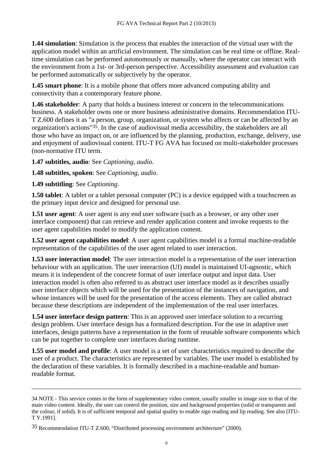**1.44 simulation**: Simulation is the process that enables the interaction of the virtual user with the application model within an artificial environment. The simulation can be real time or offline. Realtime simulation can be performed autonomously or manually, where the operator can interact with the environment from a 1st- or 3rd-person perspective. Accessibility assessment and evaluation can be performed automatically or subjectively by the operator.

**1.45 smart phone**: It is a mobile phone that offers more advanced computing ability and connectivity than a contemporary feature phone.

**1.46 stakeholder**: A party that holds a business interest or concern in the telecommunications business. A stakeholder owns one or more business administrative domains. Recommendation ITU-T Z.600 defines it as "a person, group, organization, or system who affects or can be affected by an organization's actions"35. In the case of audiovisual media accessibility, the stakeholders are all those who have an impact on, or are influenced by the planning, production, exchange, delivery, use and enjoyment of audiovisual content. ITU-T FG AVA has focused on multi-stakeholder processes (non-normative ITU term.

**1.47 subtitles, audio**: See *Captioning, audio*.

**1.48 subtitles, spoken**: See *Captioning, audio*.

**1.49 subtitling**: See *Captioning*.

 $\overline{a}$ 

**1.50 tablet:** A tablet or a tablet personal computer (PC) is a device equipped with a [touchscreen](http://en.wikipedia.org/wiki/Touchscreen) as the primary [input device](http://en.wikipedia.org/wiki/Input_device) and designed for personal use.

**1.51 user agent:** A user agent is any end user software (such as a browser, or any other user interface component) that can retrieve and render application content and invoke requests to the user agent capabilities model to modify the application content.

**1.52 user agent capabilities model**: A user agent capabilities model is a formal machine-readable representation of the capabilities of the user agent related to user interaction.

**1.53 user interaction model**: The user interaction model is a representation of the user interaction behaviour with an application. The user interaction (UI) model is maintained UI-agnostic, which means it is independent of the concrete format of user interface output and input data. User interaction model is often also referred to as abstract user interface model as it describes usually user interface objects which will be used for the presentation of the instances of navigation, and whose instances will be used for the presentation of the access elements. They are called abstract because these descriptions are independent of the implementation of the real user interfaces.

**1.54 user interface design pattern**: This is an approved user interface solution to a recurring design problem. User interface design has a formalized description. For the use in adaptive user interfaces, design patterns have a representation in the form of reusable software components which can be put together to complete user interfaces during runtime.

**1.55 user model and profile**: A user model is a set of user characteristics required to describe the user of a product. The characteristics are represented by variables. The user model is established by the declaration of these variables. It is formally described in a machine-readable and humanreadable format.

<sup>34</sup> NOTE - This service comes in the form of supplementary video content, usually smaller in image size to that of the main video content. Ideally, the user can control the position, size and background properties (solid or transparent and the colour, if solid). It is of sufficient temporal and spatial quality to enable sign reading and lip reading. See also [ITU-T Y.1991].

<sup>35</sup> Recommendation ITU-T Z.600, "Distributed processing environment architecture" (2000).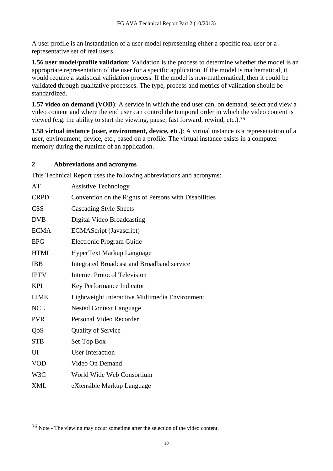A user profile is an instantiation of a user model representing either a specific real user or a representative set of real users.

**1.56 user model/profile validation**: Validation is the process to determine whether the model is an appropriate representation of the user for a specific application. If the model is mathematical, it would require a statistical validation process. If the model is non-mathematical, then it could be validated through qualitative processes. The type, process and metrics of validation should be standardized.

**1.57 video on demand (VOD)**: A service in which the end user can, on demand, select and view a video content and where the end user can control the temporal order in which the video content is viewed (e.g. the ability to start the viewing, pause, fast forward, rewind, etc.).36

**1.58 virtual instance (user, environment, device, etc.)**: A virtual instance is a representation of a user, environment, device, etc., based on a profile. The virtual instance exists in a computer memory during the runtime of an application.

#### **2 Abbreviations and acronyms**

This Technical Report uses the following abbreviations and acronyms:

| AT          | <b>Assistive Technology</b>                           |
|-------------|-------------------------------------------------------|
| <b>CRPD</b> | Convention on the Rights of Persons with Disabilities |
| <b>CSS</b>  | <b>Cascading Style Sheets</b>                         |
| <b>DVB</b>  | Digital Video Broadcasting                            |
| <b>ECMA</b> | <b>ECMAScript</b> (Javascript)                        |
| <b>EPG</b>  | Electronic Program Guide                              |
| <b>HTML</b> | HyperText Markup Language                             |
| <b>IBB</b>  | <b>Integrated Broadcast and Broadband service</b>     |
| <b>IPTV</b> | <b>Internet Protocol Television</b>                   |
| <b>KPI</b>  | Key Performance Indicator                             |
| <b>LIME</b> | Lightweight Interactive Multimedia Environment        |
| <b>NCL</b>  | <b>Nested Context Language</b>                        |
| <b>PVR</b>  | Personal Video Recorder                               |
| QoS         | <b>Quality of Service</b>                             |
| <b>STB</b>  | Set-Top Box                                           |
| UI          | <b>User Interaction</b>                               |
| <b>VOD</b>  | Video On Demand                                       |
| W3C         | World Wide Web Consortium                             |
| <b>XML</b>  | eXtensible Markup Language                            |
|             |                                                       |

<sup>36</sup> Note - The viewing may occur sometime after the selection of the video content.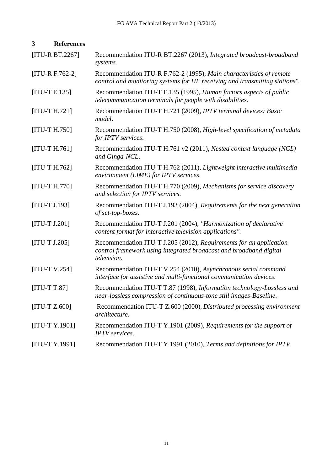| 3               | <b>References</b> |                                                                                                                                                         |
|-----------------|-------------------|---------------------------------------------------------------------------------------------------------------------------------------------------------|
|                 | [ITU-R BT.2267]   | Recommendation ITU-R BT.2267 (2013), Integrated broadcast-broadband<br>systems.                                                                         |
|                 | $[ITU-R F.762-2]$ | Recommendation ITU-R F.762-2 (1995), Main characteristics of remote<br>control and monitoring systems for HF receiving and transmitting stations".      |
| $[ITU-T E.135]$ |                   | Recommendation ITU-T E.135 (1995), Human factors aspects of public<br>telecommunication terminals for people with disabilities.                         |
| $[ITU-T H.721]$ |                   | Recommendation ITU-T H.721 (2009), IPTV terminal devices: Basic<br>model.                                                                               |
| $[ITU-T H.750]$ |                   | Recommendation ITU-T H.750 (2008), High-level specification of metadata<br>for IPTV services.                                                           |
| $[ITU-T H.761]$ |                   | Recommendation ITU-T H.761 v2 (2011), Nested context language (NCL)<br>and Ginga-NCL.                                                                   |
| $[ITU-T H.762]$ |                   | Recommendation ITU-T H.762 (2011), Lightweight interactive multimedia<br>environment (LIME) for IPTV services.                                          |
| $[ITU-T H.770]$ |                   | Recommendation ITU-T H.770 (2009), Mechanisms for service discovery<br>and selection for IPTV services.                                                 |
| $[ITU-T J.193]$ |                   | Recommendation ITU-T J.193 (2004), Requirements for the next generation<br>of set-top-boxes.                                                            |
| $[ITU-T J.201]$ |                   | Recommendation ITU-T J.201 (2004), "Harmonization of declarative<br>content format for interactive television applications".                            |
| $[ITU-T J.205]$ |                   | Recommendation ITU-T J.205 (2012), Requirements for an application<br>control framework using integrated broadcast and broadband digital<br>television. |
| $[ITU-T V.254]$ |                   | Recommendation ITU-T V.254 (2010), Asynchronous serial command<br>interface for assistive and multi-functional communication devices.                   |
| $[ITU-T T.87]$  |                   | Recommendation ITU-T T.87 (1998), Information technology-Lossless and<br>near-lossless compression of continuous-tone still images-Baseline.            |
| $[ITU-T Z.600]$ |                   | Recommendation ITU-T Z.600 (2000), Distributed processing environment<br>architecture.                                                                  |
|                 | [ITU-T Y.1901]    | Recommendation ITU-T Y.1901 (2009), Requirements for the support of<br><b>IPTV</b> services.                                                            |
|                 | [ITU-T Y.1991]    | Recommendation ITU-T Y.1991 (2010), Terms and definitions for IPTV.                                                                                     |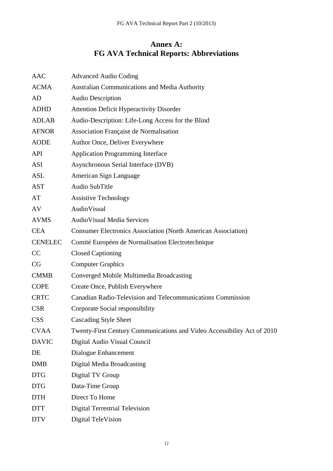# **Annex A: FG AVA Technical Reports: Abbreviations**

| AAC            | <b>Advanced Audio Coding</b>                                            |
|----------------|-------------------------------------------------------------------------|
| <b>ACMA</b>    | Australian Communications and Media Authority                           |
| AD             | <b>Audio Description</b>                                                |
| <b>ADHD</b>    | <b>Attention Deficit Hyperactivity Disorder</b>                         |
| <b>ADLAB</b>   | Audio-Description: Life-Long Access for the Blind                       |
| <b>AFNOR</b>   | Association Française de Normalisation                                  |
| <b>AODE</b>    | Author Once, Deliver Everywhere                                         |
| <b>API</b>     | <b>Application Programming Interface</b>                                |
| ASI            | Asynchronous Serial Interface (DVB)                                     |
| ASL            | American Sign Language                                                  |
| <b>AST</b>     | Audio SubTitle                                                          |
| AT             | <b>Assistive Technology</b>                                             |
| AV             | AudioVisual                                                             |
| <b>AVMS</b>    | <b>AudioVisual Media Services</b>                                       |
| <b>CEA</b>     | <b>Consumer Electronics Association (North American Association)</b>    |
| <b>CENELEC</b> | Comité Européen de Normalisation Electrotechnique                       |
| CC             | <b>Closed Captioning</b>                                                |
| CG             | <b>Computer Graphics</b>                                                |
| <b>CMMB</b>    | Converged Mobile Multimedia Broadcasting                                |
| <b>COPE</b>    | Create Once, Publish Everywhere                                         |
| <b>CRTC</b>    | Canadian Radio-Television and Telecommunications Commission             |
| <b>CSR</b>     | Corporate Social responsibility                                         |
| <b>CSS</b>     | <b>Cascading Style Sheet</b>                                            |
| <b>CVAA</b>    | Twenty-First Century Communications and Video Accessibility Act of 2010 |
| <b>DAVIC</b>   | Digital Audio Visual Council                                            |
| DE             | Dialogue Enhancement                                                    |
| <b>DMB</b>     | Digital Media Broadcasting                                              |
| <b>DTG</b>     | Digital TV Group                                                        |
| <b>DTG</b>     | Data-Time Group                                                         |
| <b>DTH</b>     | Direct To Home                                                          |
| <b>DTT</b>     | <b>Digital Terrestrial Television</b>                                   |
| <b>DTV</b>     | Digital TeleVision                                                      |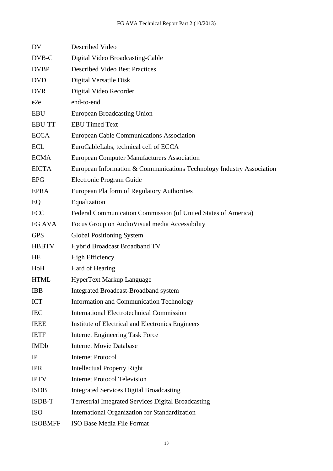| DV.             | Described Video                                                       |
|-----------------|-----------------------------------------------------------------------|
| DVB-C           | Digital Video Broadcasting-Cable                                      |
| <b>DVBP</b>     | <b>Described Video Best Practices</b>                                 |
| <b>DVD</b>      | Digital Versatile Disk                                                |
| <b>DVR</b>      | Digital Video Recorder                                                |
| e <sub>2e</sub> | end-to-end                                                            |
| <b>EBU</b>      | European Broadcasting Union                                           |
| <b>EBU-TT</b>   | <b>EBU Timed Text</b>                                                 |
| <b>ECCA</b>     | <b>European Cable Communications Association</b>                      |
| ECL             | EuroCableLabs, technical cell of ECCA                                 |
| <b>ECMA</b>     | <b>European Computer Manufacturers Association</b>                    |
| <b>EICTA</b>    | European Information & Communications Technology Industry Association |
| <b>EPG</b>      | Electronic Program Guide                                              |
| <b>EPRA</b>     | European Platform of Regulatory Authorities                           |
| EQ              | Equalization                                                          |
| <b>FCC</b>      | Federal Communication Commission (of United States of America)        |
| FG AVA          | Focus Group on AudioVisual media Accessibility                        |
| <b>GPS</b>      | <b>Global Positioning System</b>                                      |
| <b>HBBTV</b>    | Hybrid Broadcast Broadband TV                                         |
| HE              | <b>High Efficiency</b>                                                |
| HoH             | Hard of Hearing                                                       |
| <b>HTML</b>     | HyperText Markup Language                                             |
| <b>IBB</b>      | <b>Integrated Broadcast-Broadband system</b>                          |
| <b>ICT</b>      | <b>Information and Communication Technology</b>                       |
| <b>IEC</b>      | <b>International Electrotechnical Commission</b>                      |
| <b>IEEE</b>     | Institute of Electrical and Electronics Engineers                     |
| <b>IETF</b>     | <b>Internet Engineering Task Force</b>                                |
| <b>IMDb</b>     | <b>Internet Movie Database</b>                                        |
| IP              | <b>Internet Protocol</b>                                              |
| <b>IPR</b>      | <b>Intellectual Property Right</b>                                    |
| <b>IPTV</b>     | <b>Internet Protocol Television</b>                                   |
| <b>ISDB</b>     | <b>Integrated Services Digital Broadcasting</b>                       |
| ISDB-T          | <b>Terrestrial Integrated Services Digital Broadcasting</b>           |
| <b>ISO</b>      | International Organization for Standardization                        |
| <b>ISOBMFF</b>  | ISO Base Media File Format                                            |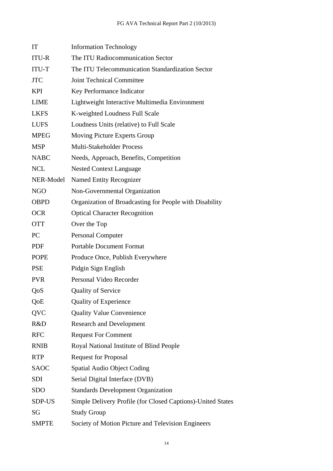| IT           | <b>Information Technology</b>                               |
|--------------|-------------------------------------------------------------|
| <b>ITU-R</b> | The ITU Radiocommunication Sector                           |
| ITU-T        | The ITU Telecommunication Standardization Sector            |
| <b>JTC</b>   | <b>Joint Technical Committee</b>                            |
| <b>KPI</b>   | Key Performance Indicator                                   |
| <b>LIME</b>  | Lightweight Interactive Multimedia Environment              |
| <b>LKFS</b>  | K-weighted Loudness Full Scale                              |
| <b>LUFS</b>  | Loudness Units (relative) to Full Scale                     |
| <b>MPEG</b>  | Moving Picture Experts Group                                |
| <b>MSP</b>   | Multi-Stakeholder Process                                   |
| <b>NABC</b>  | Needs, Approach, Benefits, Competition                      |
| <b>NCL</b>   | <b>Nested Context Language</b>                              |
| NER-Model    | <b>Named Entity Recognizer</b>                              |
| <b>NGO</b>   | Non-Governmental Organization                               |
| <b>OBPD</b>  | Organization of Broadcasting for People with Disability     |
| <b>OCR</b>   | <b>Optical Character Recognition</b>                        |
| <b>OTT</b>   | Over the Top                                                |
| PC           | <b>Personal Computer</b>                                    |
| <b>PDF</b>   | <b>Portable Document Format</b>                             |
| <b>POPE</b>  | Produce Once, Publish Everywhere                            |
| <b>PSE</b>   | Pidgin Sign English                                         |
| <b>PVR</b>   | Personal Video Recorder                                     |
| QoS          | <b>Quality of Service</b>                                   |
| QoE          | <b>Quality of Experience</b>                                |
| QVC          | <b>Quality Value Convenience</b>                            |
| R&D          | <b>Research and Development</b>                             |
| <b>RFC</b>   | <b>Request For Comment</b>                                  |
| <b>RNIB</b>  | Royal National Institute of Blind People                    |
| <b>RTP</b>   | <b>Request for Proposal</b>                                 |
| <b>SAOC</b>  | Spatial Audio Object Coding                                 |
| <b>SDI</b>   | Serial Digital Interface (DVB)                              |
| <b>SDO</b>   | <b>Standards Development Organization</b>                   |
| SDP-US       | Simple Delivery Profile (for Closed Captions)-United States |
| SG           | <b>Study Group</b>                                          |
| <b>SMPTE</b> | Society of Motion Picture and Television Engineers          |